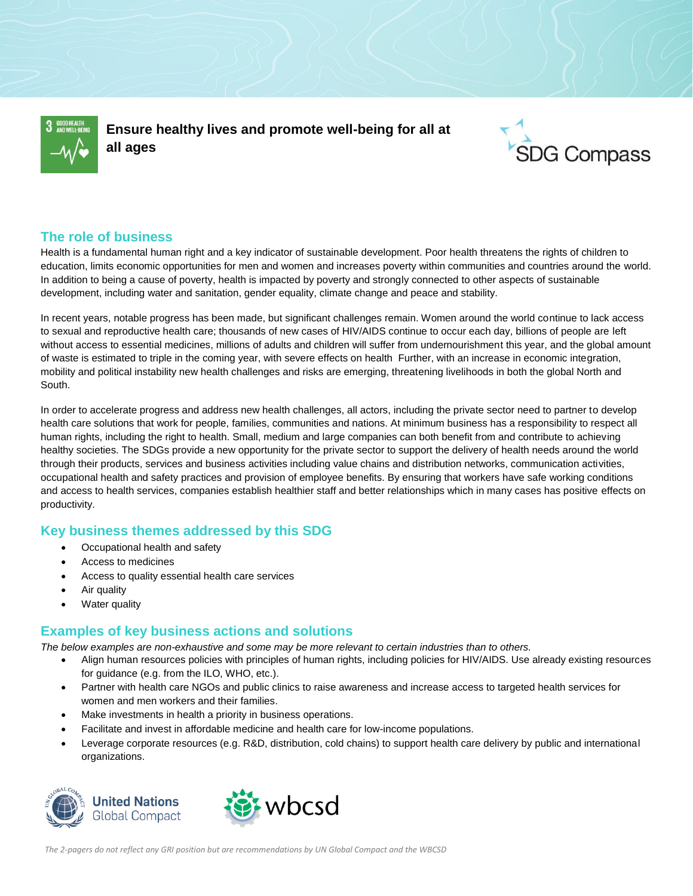

**Ensure healthy lives and promote well-being for all at all ages**



## **The role of business**

Health is a fundamental human right and a key indicator of sustainable development. Poor health threatens the rights of children to education, limits economic opportunities for men and women and increases poverty within communities and countries around the world. In addition to being a cause of poverty, health is impacted by poverty and strongly connected to other aspects of sustainable development, including water and sanitation, gender equality, climate change and peace and stability.

In recent years, notable progress has been made, but significant challenges remain. Women around the world continue to lack access to sexual and reproductive health care; thousands of new cases of HIV/AIDS continue to occur each day, billions of people are left without access to essential medicines, millions of adults and children will suffer from undernourishment this year, and the global amount of waste is estimated to triple in the coming year, with severe effects on health Further, with an increase in economic integration, mobility and political instability new health challenges and risks are emerging, threatening livelihoods in both the global North and South.

In order to accelerate progress and address new health challenges, all actors, including the private sector need to partner to develop health care solutions that work for people, families, communities and nations. At minimum business has a responsibility to respect all human rights, including the right to health. Small, medium and large companies can both benefit from and contribute to achieving healthy societies. The SDGs provide a new opportunity for the private sector to support the delivery of health needs around the world through their products, services and business activities including value chains and distribution networks, communication activities, occupational health and safety practices and provision of employee benefits. By ensuring that workers have safe working conditions and access to health services, companies establish healthier staff and better relationships which in many cases has positive effects on productivity.

# **Key business themes addressed by this SDG**

- Occupational health and safety
- Access to medicines
- Access to quality essential health care services
- Air quality
- Water quality

# **Examples of key business actions and solutions**

*The below examples are non-exhaustive and some may be more relevant to certain industries than to others.*

- Align human resources policies with principles of human rights, including policies for HIV/AIDS. Use already existing resources for guidance (e.g. from the ILO, WHO, etc.).
- Partner with health care NGOs and public clinics to raise awareness and increase access to targeted health services for women and men workers and their families.
- Make investments in health a priority in business operations.
- Facilitate and invest in affordable medicine and health care for low-income populations.
- Leverage corporate resources (e.g. R&D, distribution, cold chains) to support health care delivery by public and international organizations.